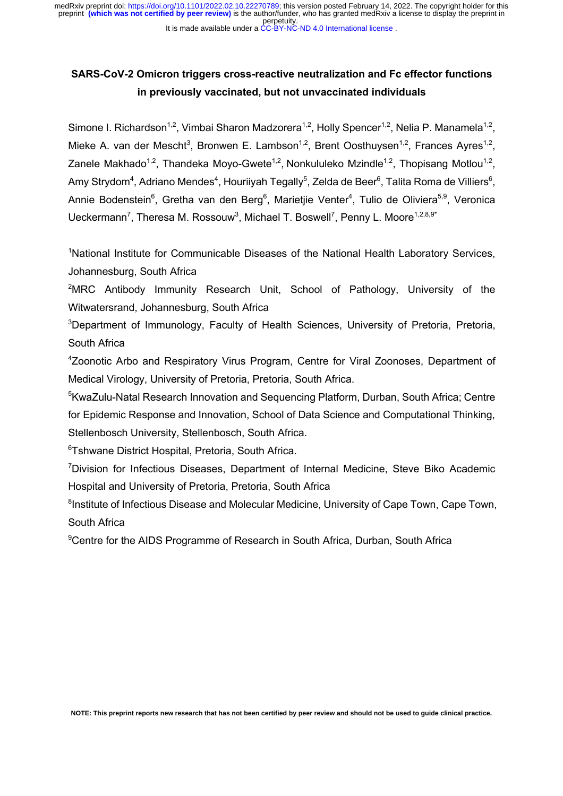perpetuity. preprint **(which was not certified by peer review)** is the author/funder, who has granted medRxiv a license to display the preprint in medRxiv preprint doi: [https://doi.org/10.1101/2022.02.10.22270789;](https://doi.org/10.1101/2022.02.10.22270789) this version posted February 14, 2022. The copyright holder for this

#### It is made available under a CC-BY-NC-ND 4.0 International license.

# **SARS-CoV-2 Omicron triggers cross-reactive neutralization and Fc effector functions in previously vaccinated, but not unvaccinated individuals**

Simone I. Richardson<sup>1,2</sup>, Vimbai Sharon Madzorera<sup>1,2</sup>, Holly Spencer<sup>1,2</sup>, Nelia P. Manamela<sup>1,2</sup>, Mieke A. van der Mescht<sup>3</sup>, Bronwen E. Lambson<sup>1,2</sup>, Brent Oosthuysen<sup>1,2</sup>, Frances Ayres<sup>1,2</sup>, Zanele Makhado<sup>1,2</sup>, Thandeka Moyo-Gwete<sup>1,2</sup>, Nonkululeko Mzindle<sup>1,2</sup>, Thopisang Motlou<sup>1,2</sup>, Amy Strydom $^4$ , Adriano Mendes $^4$ , Houriiyah Tegally $^5$ , Zelda de Beer $^6$ , Talita Roma de Villiers $^6$ , Annie Bodenstein<sup>6</sup>, Gretha van den Berg<sup>6</sup>, Marietjie Venter<sup>4</sup>, Tulio de Oliviera<sup>5,9</sup>, Veronica Ueckermann<sup>7</sup>, Theresa M. Rossouw<sup>3</sup>, Michael T. Boswell<sup>7</sup>, Penny L. Moore<sup>1,2,8,9\*</sup>

<sup>1</sup>National Institute for Communicable Diseases of the National Health Laboratory Services, Johannesburg, South Africa

<sup>2</sup>MRC Antibody Immunity Research Unit, School of Pathology, University of the Witwatersrand, Johannesburg, South Africa

<sup>3</sup>Department of Immunology, Faculty of Health Sciences, University of Pretoria, Pretoria, South Africa

<sup>4</sup>Zoonotic Arbo and Respiratory Virus Program, Centre for Viral Zoonoses, Department of Medical Virology, University of Pretoria, Pretoria, South Africa.

<sup>5</sup>KwaZulu-Natal Research Innovation and Sequencing Platform, Durban, South Africa; Centre for Epidemic Response and Innovation, School of Data Science and Computational Thinking, Stellenbosch University, Stellenbosch, South Africa.

6 Tshwane District Hospital, Pretoria, South Africa.

<sup>7</sup>Division for Infectious Diseases, Department of Internal Medicine, Steve Biko Academic Hospital and University of Pretoria, Pretoria, South Africa

<sup>8</sup>Institute of Infectious Disease and Molecular Medicine, University of Cape Town, Cape Town, South Africa

<sup>9</sup>Centre for the AIDS Programme of Research in South Africa, Durban, South Africa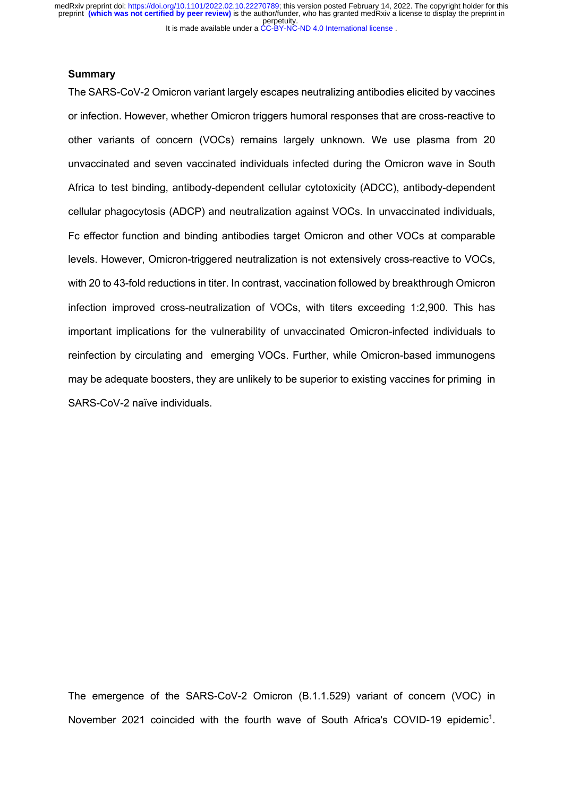#### **Summary**

The SARS-CoV-2 Omicron variant largely escapes neutralizing antibodies elicited by vaccines or infection. However, whether Omicron triggers humoral responses that are cross-reactive to other variants of concern (VOCs) remains largely unknown. We use plasma from 20 unvaccinated and seven vaccinated individuals infected during the Omicron wave in South Africa to test binding, antibody-dependent cellular cytotoxicity (ADCC), antibody-dependent cellular phagocytosis (ADCP) and neutralization against VOCs. In unvaccinated individuals, Fc effector function and binding antibodies target Omicron and other VOCs at comparable levels. However, Omicron-triggered neutralization is not extensively cross-reactive to VOCs, with 20 to 43-fold reductions in titer. In contrast, vaccination followed by breakthrough Omicron infection improved cross-neutralization of VOCs, with titers exceeding 1:2,900. This has important implications for the vulnerability of unvaccinated Omicron-infected individuals to reinfection by circulating and emerging VOCs. Further, while Omicron-based immunogens may be adequate boosters, they are unlikely to be superior to existing vaccines for priming in SARS-CoV-2 naïve individuals.

The emergence of the SARS-CoV-2 Omicron (B.1.1.529) variant of concern (VOC) in November 2021 coincided with the fourth wave of South Africa's COVID-19 epidemic<sup>1</sup>.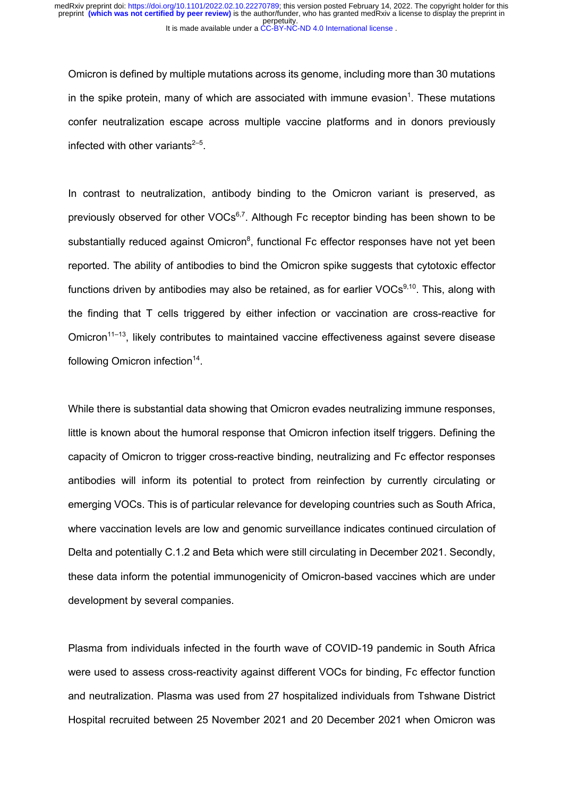Omicron is defined by multiple mutations across its genome, including more than 30 mutations in the spike protein, many of which are associated with immune evasion<sup>1</sup>. These mutations confer neutralization escape across multiple vaccine platforms and in donors previously infected with other variants $2-5$ .

In contrast to neutralization, antibody binding to the Omicron variant is preserved, as previously observed for other  $VOCs<sup>6,7</sup>$ . Although Fc receptor binding has been shown to be substantially reduced against Omicron<sup>8</sup>, functional Fc effector responses have not yet been reported. The ability of antibodies to bind the Omicron spike suggests that cytotoxic effector functions driven by antibodies may also be retained, as for earlier  $VOCs<sup>9,10</sup>$ . This, along with the finding that T cells triggered by either infection or vaccination are cross-reactive for Omicron<sup>11–13</sup>, likely contributes to maintained vaccine effectiveness against severe disease following Omicron infection $14$ .

While there is substantial data showing that Omicron evades neutralizing immune responses, little is known about the humoral response that Omicron infection itself triggers. Defining the capacity of Omicron to trigger cross-reactive binding, neutralizing and Fc effector responses antibodies will inform its potential to protect from reinfection by currently circulating or emerging VOCs. This is of particular relevance for developing countries such as South Africa, where vaccination levels are low and genomic surveillance indicates continued circulation of Delta and potentially C.1.2 and Beta which were still circulating in December 2021. Secondly, these data inform the potential immunogenicity of Omicron-based vaccines which are under development by several companies.

Plasma from individuals infected in the fourth wave of COVID-19 pandemic in South Africa were used to assess cross-reactivity against different VOCs for binding, Fc effector function and neutralization. Plasma was used from 27 hospitalized individuals from Tshwane District Hospital recruited between 25 November 2021 and 20 December 2021 when Omicron was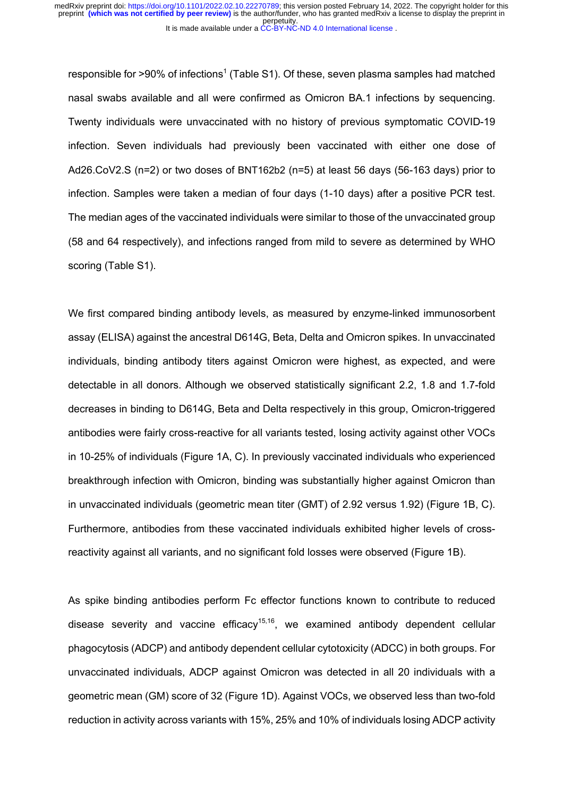responsible for  $>90\%$  of infections<sup>1</sup> (Table S1). Of these, seven plasma samples had matched nasal swabs available and all were confirmed as Omicron BA.1 infections by sequencing. Twenty individuals were unvaccinated with no history of previous symptomatic COVID-19 infection. Seven individuals had previously been vaccinated with either one dose of Ad26.CoV2.S (n=2) or two doses of BNT162b2 (n=5) at least 56 days (56-163 days) prior to infection. Samples were taken a median of four days (1-10 days) after a positive PCR test. The median ages of the vaccinated individuals were similar to those of the unvaccinated group (58 and 64 respectively), and infections ranged from mild to severe as determined by WHO scoring (Table S1).

We first compared binding antibody levels, as measured by enzyme-linked immunosorbent assay (ELISA) against the ancestral D614G, Beta, Delta and Omicron spikes. In unvaccinated individuals, binding antibody titers against Omicron were highest, as expected, and were detectable in all donors. Although we observed statistically significant 2.2, 1.8 and 1.7-fold decreases in binding to D614G, Beta and Delta respectively in this group, Omicron-triggered antibodies were fairly cross-reactive for all variants tested, losing activity against other VOCs in 10-25% of individuals (Figure 1A, C). In previously vaccinated individuals who experienced breakthrough infection with Omicron, binding was substantially higher against Omicron than in unvaccinated individuals (geometric mean titer (GMT) of 2.92 versus 1.92) (Figure 1B, C). Furthermore, antibodies from these vaccinated individuals exhibited higher levels of crossreactivity against all variants, and no significant fold losses were observed (Figure 1B).

As spike binding antibodies perform Fc effector functions known to contribute to reduced disease severity and vaccine efficacy<sup>15,16</sup>, we examined antibody dependent cellular phagocytosis (ADCP) and antibody dependent cellular cytotoxicity (ADCC) in both groups. For unvaccinated individuals, ADCP against Omicron was detected in all 20 individuals with a geometric mean (GM) score of 32 (Figure 1D). Against VOCs, we observed less than two-fold reduction in activity across variants with 15%, 25% and 10% of individuals losing ADCP activity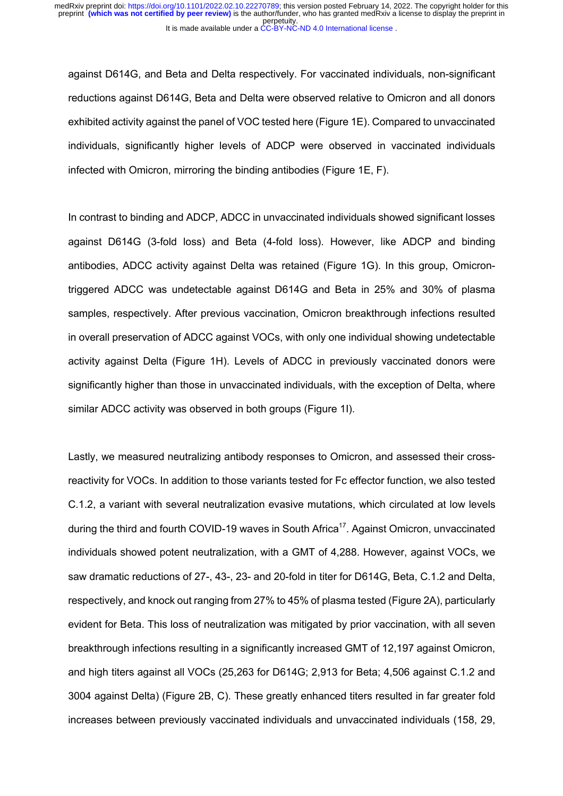against D614G, and Beta and Delta respectively. For vaccinated individuals, non-significant reductions against D614G, Beta and Delta were observed relative to Omicron and all donors exhibited activity against the panel of VOC tested here (Figure 1E). Compared to unvaccinated individuals, significantly higher levels of ADCP were observed in vaccinated individuals infected with Omicron, mirroring the binding antibodies (Figure 1E, F).

In contrast to binding and ADCP, ADCC in unvaccinated individuals showed significant losses against D614G (3-fold loss) and Beta (4-fold loss). However, like ADCP and binding antibodies, ADCC activity against Delta was retained (Figure 1G). In this group, Omicrontriggered ADCC was undetectable against D614G and Beta in 25% and 30% of plasma samples, respectively. After previous vaccination, Omicron breakthrough infections resulted in overall preservation of ADCC against VOCs, with only one individual showing undetectable activity against Delta (Figure 1H). Levels of ADCC in previously vaccinated donors were significantly higher than those in unvaccinated individuals, with the exception of Delta, where similar ADCC activity was observed in both groups (Figure 1I).

Lastly, we measured neutralizing antibody responses to Omicron, and assessed their crossreactivity for VOCs. In addition to those variants tested for Fc effector function, we also tested C.1.2, a variant with several neutralization evasive mutations, which circulated at low levels during the third and fourth COVID-19 waves in South Africa<sup>17</sup>. Against Omicron, unvaccinated individuals showed potent neutralization, with a GMT of 4,288. However, against VOCs, we saw dramatic reductions of 27-, 43-, 23- and 20-fold in titer for D614G, Beta, C.1.2 and Delta, respectively, and knock out ranging from 27% to 45% of plasma tested (Figure 2A), particularly evident for Beta. This loss of neutralization was mitigated by prior vaccination, with all seven breakthrough infections resulting in a significantly increased GMT of 12,197 against Omicron, and high titers against all VOCs (25,263 for D614G; 2,913 for Beta; 4,506 against C.1.2 and 3004 against Delta) (Figure 2B, C). These greatly enhanced titers resulted in far greater fold increases between previously vaccinated individuals and unvaccinated individuals (158, 29,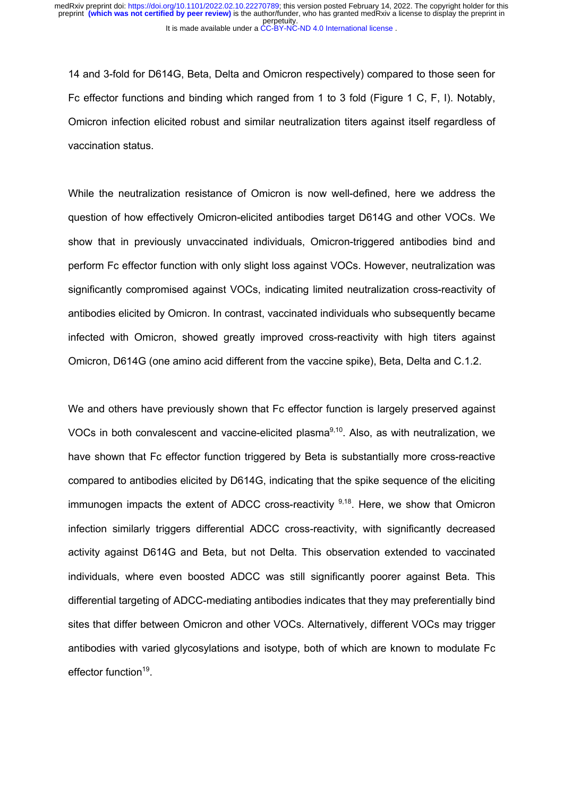It is made available under a CC-BY-NC-ND 4.0 International license. perpetuity. preprint **(which was not certified by peer review)** is the author/funder, who has granted medRxiv a license to display the preprint in medRxiv preprint doi: [https://doi.org/10.1101/2022.02.10.22270789;](https://doi.org/10.1101/2022.02.10.22270789) this version posted February 14, 2022. The copyright holder for this

14 and 3-fold for D614G, Beta, Delta and Omicron respectively) compared to those seen for Fc effector functions and binding which ranged from 1 to 3 fold (Figure 1 C, F, I). Notably, Omicron infection elicited robust and similar neutralization titers against itself regardless of vaccination status.

While the neutralization resistance of Omicron is now well-defined, here we address the question of how effectively Omicron-elicited antibodies target D614G and other VOCs. We show that in previously unvaccinated individuals, Omicron-triggered antibodies bind and perform Fc effector function with only slight loss against VOCs. However, neutralization was significantly compromised against VOCs, indicating limited neutralization cross-reactivity of antibodies elicited by Omicron. In contrast, vaccinated individuals who subsequently became infected with Omicron, showed greatly improved cross-reactivity with high titers against Omicron, D614G (one amino acid different from the vaccine spike), Beta, Delta and C.1.2.

We and others have previously shown that Fc effector function is largely preserved against VOCs in both convalescent and vaccine-elicited plasma $9,10$ . Also, as with neutralization, we have shown that Fc effector function triggered by Beta is substantially more cross-reactive compared to antibodies elicited by D614G, indicating that the spike sequence of the eliciting immunogen impacts the extent of ADCC cross-reactivity  $9,18$ . Here, we show that Omicron infection similarly triggers differential ADCC cross-reactivity, with significantly decreased activity against D614G and Beta, but not Delta. This observation extended to vaccinated individuals, where even boosted ADCC was still significantly poorer against Beta. This differential targeting of ADCC-mediating antibodies indicates that they may preferentially bind sites that differ between Omicron and other VOCs. Alternatively, different VOCs may trigger antibodies with varied glycosylations and isotype, both of which are known to modulate Fc effector function<sup>19</sup>.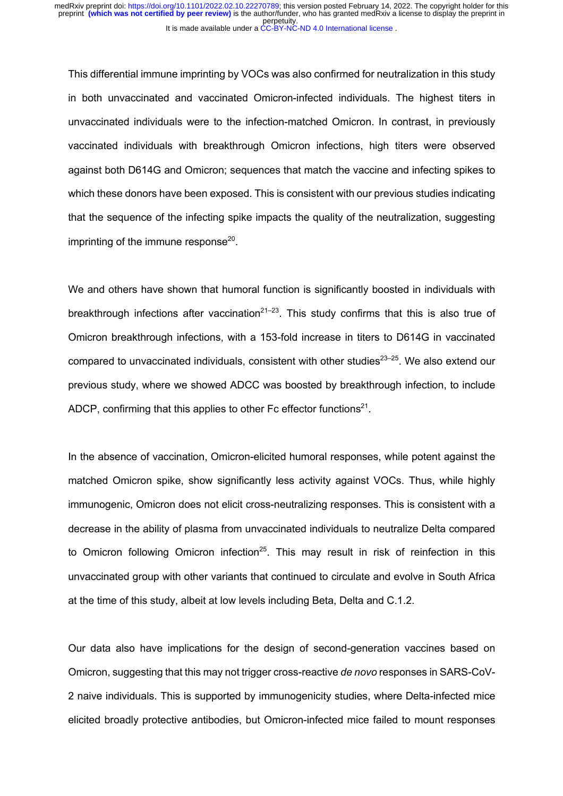This differential immune imprinting by VOCs was also confirmed for neutralization in this study in both unvaccinated and vaccinated Omicron-infected individuals. The highest titers in unvaccinated individuals were to the infection-matched Omicron. In contrast, in previously vaccinated individuals with breakthrough Omicron infections, high titers were observed against both D614G and Omicron; sequences that match the vaccine and infecting spikes to which these donors have been exposed. This is consistent with our previous studies indicating that the sequence of the infecting spike impacts the quality of the neutralization, suggesting imprinting of the immune response $20$ .

We and others have shown that humoral function is significantly boosted in individuals with breakthrough infections after vaccination<sup>21–23</sup>. This study confirms that this is also true of Omicron breakthrough infections, with a 153-fold increase in titers to D614G in vaccinated compared to unvaccinated individuals, consistent with other studies $23-25$ . We also extend our previous study, where we showed ADCC was boosted by breakthrough infection, to include ADCP, confirming that this applies to other Fc effector functions $2^1$ .

In the absence of vaccination, Omicron-elicited humoral responses, while potent against the matched Omicron spike, show significantly less activity against VOCs. Thus, while highly immunogenic, Omicron does not elicit cross-neutralizing responses. This is consistent with a decrease in the ability of plasma from unvaccinated individuals to neutralize Delta compared to Omicron following Omicron infection<sup>25</sup>. This may result in risk of reinfection in this unvaccinated group with other variants that continued to circulate and evolve in South Africa at the time of this study, albeit at low levels including Beta, Delta and C.1.2.

Our data also have implications for the design of second-generation vaccines based on Omicron, suggesting that this may not trigger cross-reactive *de novo* responses in SARS-CoV-2 naive individuals. This is supported by immunogenicity studies, where Delta-infected mice elicited broadly protective antibodies, but Omicron-infected mice failed to mount responses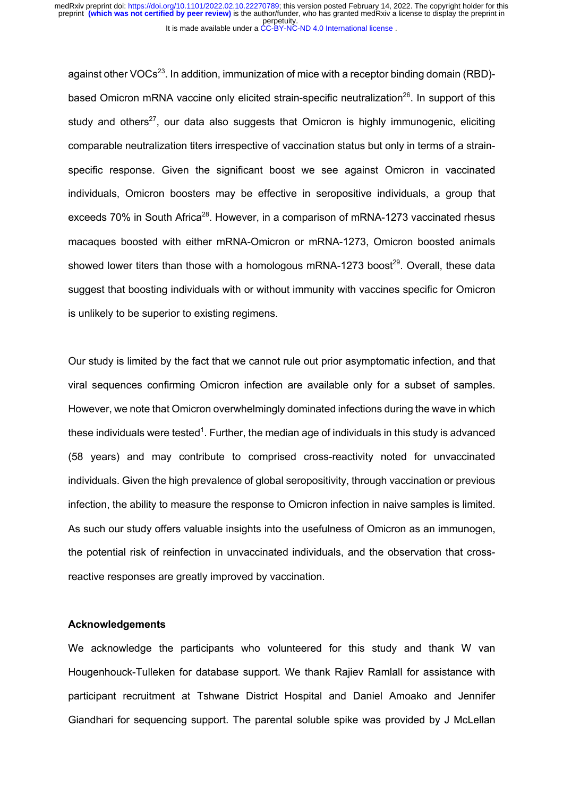against other VOCs<sup>23</sup>. In addition, immunization of mice with a receptor binding domain (RBD)based Omicron mRNA vaccine only elicited strain-specific neutralization<sup>26</sup>. In support of this study and others<sup>27</sup>, our data also suggests that Omicron is highly immunogenic, eliciting comparable neutralization titers irrespective of vaccination status but only in terms of a strainspecific response. Given the significant boost we see against Omicron in vaccinated individuals, Omicron boosters may be effective in seropositive individuals, a group that exceeds 70% in South Africa<sup>28</sup>. However, in a comparison of mRNA-1273 vaccinated rhesus macaques boosted with either mRNA-Omicron or mRNA-1273, Omicron boosted animals showed lower titers than those with a homologous mRNA-1273 boost<sup>29</sup>. Overall, these data suggest that boosting individuals with or without immunity with vaccines specific for Omicron is unlikely to be superior to existing regimens.

Our study is limited by the fact that we cannot rule out prior asymptomatic infection, and that viral sequences confirming Omicron infection are available only for a subset of samples. However, we note that Omicron overwhelmingly dominated infections during the wave in which these individuals were tested<sup>1</sup>. Further, the median age of individuals in this study is advanced (58 years) and may contribute to comprised cross-reactivity noted for unvaccinated individuals. Given the high prevalence of global seropositivity, through vaccination or previous infection, the ability to measure the response to Omicron infection in naive samples is limited. As such our study offers valuable insights into the usefulness of Omicron as an immunogen, the potential risk of reinfection in unvaccinated individuals, and the observation that crossreactive responses are greatly improved by vaccination.

#### **Acknowledgements**

We acknowledge the participants who volunteered for this study and thank W van Hougenhouck-Tulleken for database support. We thank Rajiev Ramlall for assistance with participant recruitment at Tshwane District Hospital and Daniel Amoako and Jennifer Giandhari for sequencing support. The parental soluble spike was provided by J McLellan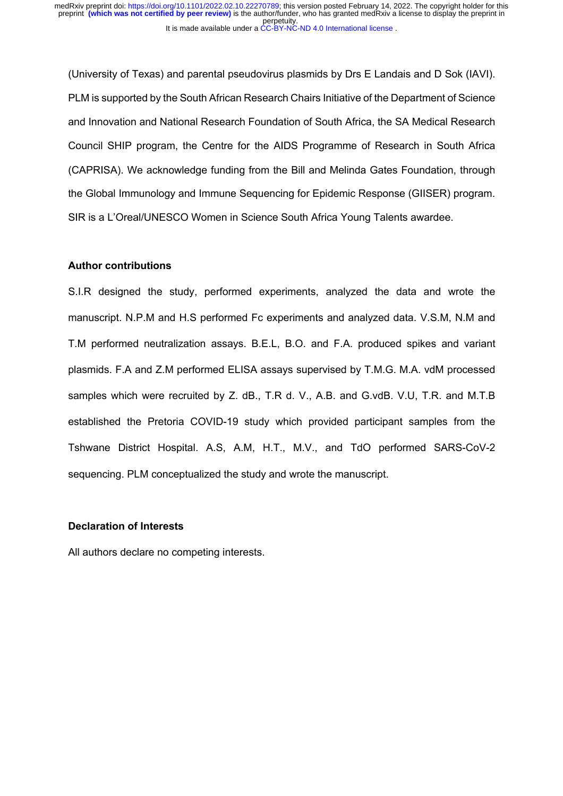(University of Texas) and parental pseudovirus plasmids by Drs E Landais and D Sok (IAVI). PLM is supported by the South African Research Chairs Initiative of the Department of Science and Innovation and National Research Foundation of South Africa, the SA Medical Research Council SHIP program, the Centre for the AIDS Programme of Research in South Africa (CAPRISA). We acknowledge funding from the Bill and Melinda Gates Foundation, through the Global Immunology and Immune Sequencing for Epidemic Response (GIISER) program. SIR is a L'Oreal/UNESCO Women in Science South Africa Young Talents awardee.

### **Author contributions**

S.I.R designed the study, performed experiments, analyzed the data and wrote the manuscript. N.P.M and H.S performed Fc experiments and analyzed data. V.S.M, N.M and T.M performed neutralization assays. B.E.L, B.O. and F.A. produced spikes and variant plasmids. F.A and Z.M performed ELISA assays supervised by T.M.G. M.A. vdM processed samples which were recruited by Z. dB., T.R d. V., A.B. and G.vdB. V.U, T.R. and M.T.B established the Pretoria COVID-19 study which provided participant samples from the Tshwane District Hospital. A.S, A.M, H.T., M.V., and TdO performed SARS-CoV-2 sequencing. PLM conceptualized the study and wrote the manuscript.

#### **Declaration of Interests**

All authors declare no competing interests.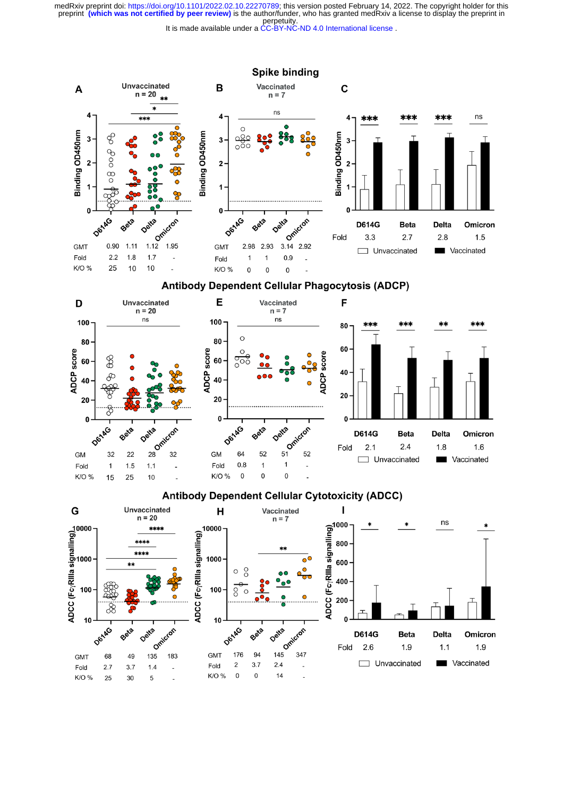perpetuity. medRxiv preprint doi: [https://doi.org/10.1101/2022.02.10.22270789;](https://doi.org/10.1101/2022.02.10.22270789) this version posted February 14, 2022. The copyright holder for this<br>preprint (which was not certified by peer review) is the author/funder, who has grante

It is made available under a CC-BY-NC-ND 4.0 International license.

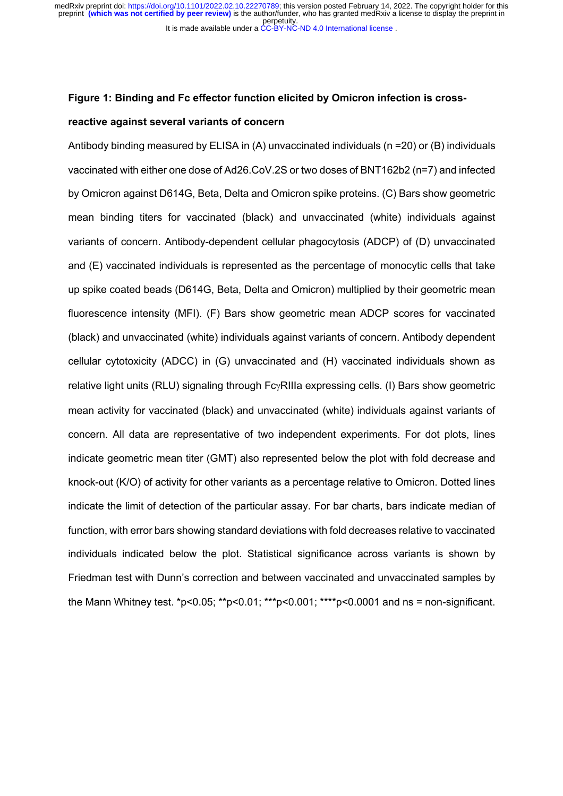perpetuity. medRxiv preprint doi: [https://doi.org/10.1101/2022.02.10.22270789;](https://doi.org/10.1101/2022.02.10.22270789) this version posted February 14, 2022. The copyright holder for this<br>preprint (which was not certified by peer review) is the author/funder, who has grante

It is made available under a CC-BY-NC-ND 4.0 International license.

#### **Figure 1: Binding and Fc effector function elicited by Omicron infection is cross-**

#### **reactive against several variants of concern**

Antibody binding measured by ELISA in (A) unvaccinated individuals (n =20) or (B) individuals vaccinated with either one dose of Ad26.CoV.2S or two doses of BNT162b2 (n=7) and infected by Omicron against D614G, Beta, Delta and Omicron spike proteins. (C) Bars show geometric mean binding titers for vaccinated (black) and unvaccinated (white) individuals against variants of concern. Antibody-dependent cellular phagocytosis (ADCP) of (D) unvaccinated and (E) vaccinated individuals is represented as the percentage of monocytic cells that take up spike coated beads (D614G, Beta, Delta and Omicron) multiplied by their geometric mean fluorescence intensity (MFI). (F) Bars show geometric mean ADCP scores for vaccinated (black) and unvaccinated (white) individuals against variants of concern. Antibody dependent cellular cytotoxicity (ADCC) in (G) unvaccinated and (H) vaccinated individuals shown as relative light units (RLU) signaling through Fc<sub>Y</sub>RIIIa expressing cells. (I) Bars show geometric mean activity for vaccinated (black) and unvaccinated (white) individuals against variants of concern. All data are representative of two independent experiments. For dot plots, lines indicate geometric mean titer (GMT) also represented below the plot with fold decrease and knock-out (K/O) of activity for other variants as a percentage relative to Omicron. Dotted lines indicate the limit of detection of the particular assay. For bar charts, bars indicate median of function, with error bars showing standard deviations with fold decreases relative to vaccinated individuals indicated below the plot. Statistical significance across variants is shown by Friedman test with Dunn's correction and between vaccinated and unvaccinated samples by the Mann Whitney test.  $*p<0.05$ ;  $*p<0.01$ ;  $**p<0.001$ ;  $***p<0.0001$  and ns = non-significant.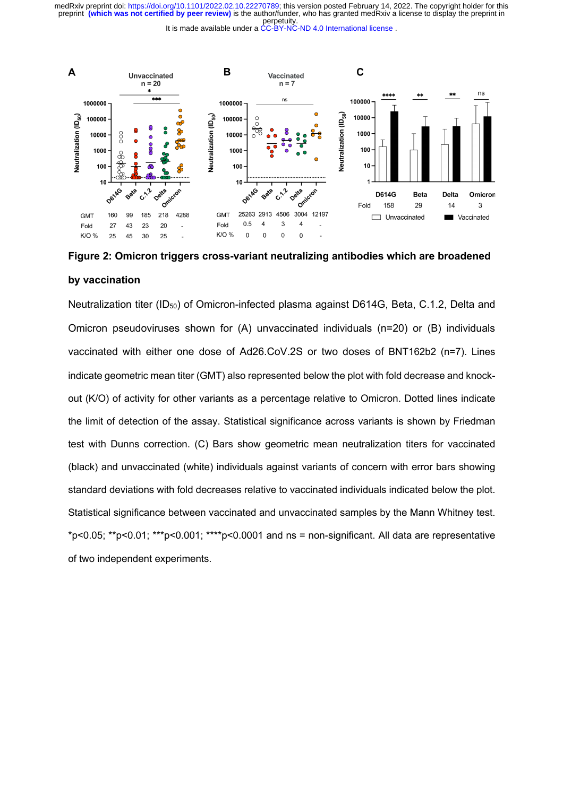perpetuity. preprint **(which was not certified by peer review)** is the author/funder, who has granted medRxiv a license to display the preprint in medRxiv preprint doi: [https://doi.org/10.1101/2022.02.10.22270789;](https://doi.org/10.1101/2022.02.10.22270789) this version posted February 14, 2022. The copyright holder for this

It is made available under a CC-BY-NC-ND 4.0 International license.



**Figure 2: Omicron triggers cross-variant neutralizing antibodies which are broadened by vaccination** 

Neutralization titer (ID<sub>50</sub>) of Omicron-infected plasma against D614G, Beta, C.1.2, Delta and Omicron pseudoviruses shown for (A) unvaccinated individuals (n=20) or (B) individuals vaccinated with either one dose of Ad26.CoV.2S or two doses of BNT162b2 (n=7). Lines indicate geometric mean titer (GMT) also represented below the plot with fold decrease and knockout (K/O) of activity for other variants as a percentage relative to Omicron. Dotted lines indicate the limit of detection of the assay. Statistical significance across variants is shown by Friedman test with Dunns correction. (C) Bars show geometric mean neutralization titers for vaccinated (black) and unvaccinated (white) individuals against variants of concern with error bars showing standard deviations with fold decreases relative to vaccinated individuals indicated below the plot. Statistical significance between vaccinated and unvaccinated samples by the Mann Whitney test.  $*p<0.05$ ;  $*p<0.01$ ;  $**p<0.001$ ;  $**p<0.0001$  and ns = non-significant. All data are representative of two independent experiments.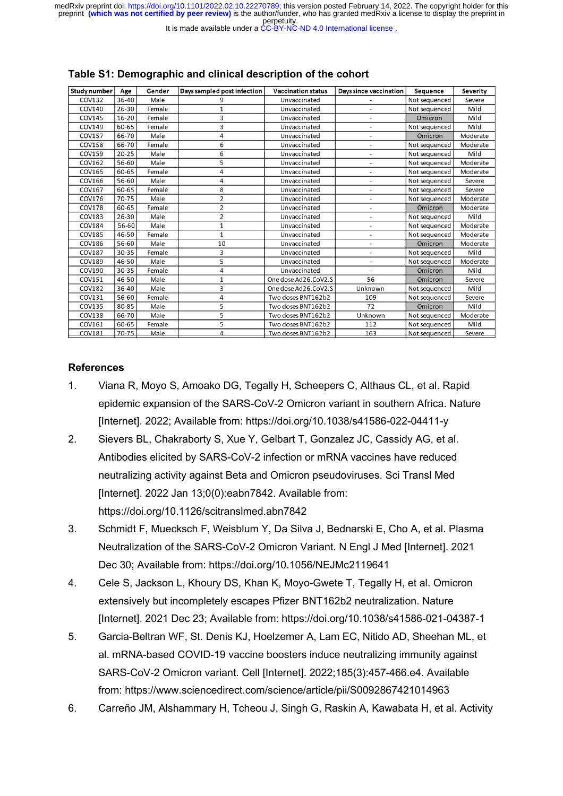perpetuity. preprint **(which was not certified by peer review)** is the author/funder, who has granted medRxiv a license to display the preprint in medRxiv preprint doi: [https://doi.org/10.1101/2022.02.10.22270789;](https://doi.org/10.1101/2022.02.10.22270789) this version posted February 14, 2022. The copyright holder for this

It is made available under a CC-BY-NC-ND 4.0 International license.

| Study number  | Age       | Gender | Days sampled post infection | <b>Vaccination status</b> | Days since vaccination   | <b>Sequence</b> | Severity |
|---------------|-----------|--------|-----------------------------|---------------------------|--------------------------|-----------------|----------|
| COV132        | 36-40     | Male   | q                           | Unvaccinated              |                          | Not sequenced   | Severe   |
| COV140        | $26 - 30$ | Female |                             | Unvaccinated              | $\overline{\phantom{a}}$ | Not sequenced   | Mild     |
| COV145        | 16-20     | Female | 3                           | Unvaccinated              |                          | Omicron         | Mild     |
| COV149        | 60-65     | Female | 3                           | Unvaccinated              |                          | Not sequenced   | Mild     |
| COV157        | 66-70     | Male   | 4                           | Unvaccinated              | ٠                        | Omicron         | Moderate |
| <b>COV158</b> | 66-70     | Female | 6                           | Unvaccinated              |                          | Not sequenced   | Moderate |
| COV159        | $20 - 25$ | Male   | 6                           | Unvaccinated              |                          | Not sequenced   | Mild     |
| COV162        | 56-60     | Male   | 5                           | Unvaccinated              | $\overline{\phantom{a}}$ | Not sequenced   | Moderate |
| COV165        | 60-65     | Female | 4                           | Unvaccinated              |                          | Not sequenced   | Moderate |
| COV166        | 56-60     | Male   | 4                           | Unvaccinated              |                          | Not sequenced   | Severe   |
| COV167        | 60-65     | Female | 8                           | Unvaccinated              | $\overline{\phantom{a}}$ | Not sequenced   | Severe   |
| COV176        | 70-75     | Male   | 2                           | Unvaccinated              |                          | Not sequenced   | Moderate |
| <b>COV178</b> | 60-65     | Female | 2                           | Unvaccinated              |                          | Omicron         | Moderate |
| COV183        | 26-30     | Male   | 2                           | Unvaccinated              | ٠                        | Not sequenced   | Mild     |
| COV184        | 56-60     | Male   | 1                           | Unvaccinated              |                          | Not sequenced   | Moderate |
| <b>COV185</b> | 46-50     | Female | 1                           | Unvaccinated              |                          | Not sequenced   | Moderate |
| COV186        | 56-60     | Male   | 10                          | Unvaccinated              | $\overline{\phantom{a}}$ | Omicron         | Moderate |
| <b>COV187</b> | 30-35     | Female | 3                           | Unvaccinated              |                          | Not sequenced   | Mild     |
| <b>COV189</b> | 46-50     | Male   | 5                           | Unvaccinated              |                          | Not sequenced   | Moderate |
| COV190        | 30-35     | Female | 4                           | Unvaccinated              |                          | Omicron         | Mild     |
| COV151        | 46-50     | Male   | 1                           | One dose Ad26.CoV2.S      | 56                       | Omicron         | Severe   |
| <b>COV182</b> | 36-40     | Male   | 3                           | One dose Ad26.CoV2.S      | Unknown                  | Not sequenced   | Mild     |
| COV131        | 56-60     | Female | 4                           | Two doses BNT162b2        | 109                      | Not sequenced   | Severe   |
| COV135        | 80-85     | Male   | 5                           | Two doses BNT162b2        | 72                       | Omicron         | Mild     |
| <b>COV138</b> | 66-70     | Male   | 5                           | Two doses BNT162b2        | Unknown                  | Not sequenced   | Moderate |
| COV161        | 60-65     | Female | 5                           | Two doses BNT162b2        | 112                      | Not sequenced   | Mild     |
| COV181        | 70-75     | Male   | 4                           | Two doses BNT162b2        | 163                      | Not sequenced   | Severe   |

### **Table S1: Demographic and clinical description of the cohort**

# **References**

- 1. Viana R, Moyo S, Amoako DG, Tegally H, Scheepers C, Althaus CL, et al. Rapid epidemic expansion of the SARS-CoV-2 Omicron variant in southern Africa. Nature [Internet]. 2022; Available from: https://doi.org/10.1038/s41586-022-04411-y
- 2. Sievers BL, Chakraborty S, Xue Y, Gelbart T, Gonzalez JC, Cassidy AG, et al. Antibodies elicited by SARS-CoV-2 infection or mRNA vaccines have reduced neutralizing activity against Beta and Omicron pseudoviruses. Sci Transl Med [Internet]. 2022 Jan 13;0(0):eabn7842. Available from: https://doi.org/10.1126/scitranslmed.abn7842
- 3. Schmidt F, Muecksch F, Weisblum Y, Da Silva J, Bednarski E, Cho A, et al. Plasma Neutralization of the SARS-CoV-2 Omicron Variant. N Engl J Med [Internet]. 2021 Dec 30; Available from: https://doi.org/10.1056/NEJMc2119641
- 4. Cele S, Jackson L, Khoury DS, Khan K, Moyo-Gwete T, Tegally H, et al. Omicron extensively but incompletely escapes Pfizer BNT162b2 neutralization. Nature [Internet]. 2021 Dec 23; Available from: https://doi.org/10.1038/s41586-021-04387-1
- 5. Garcia-Beltran WF, St. Denis KJ, Hoelzemer A, Lam EC, Nitido AD, Sheehan ML, et al. mRNA-based COVID-19 vaccine boosters induce neutralizing immunity against SARS-CoV-2 Omicron variant. Cell [Internet]. 2022;185(3):457-466.e4. Available from: https://www.sciencedirect.com/science/article/pii/S0092867421014963
- 6. Carreño JM, Alshammary H, Tcheou J, Singh G, Raskin A, Kawabata H, et al. Activity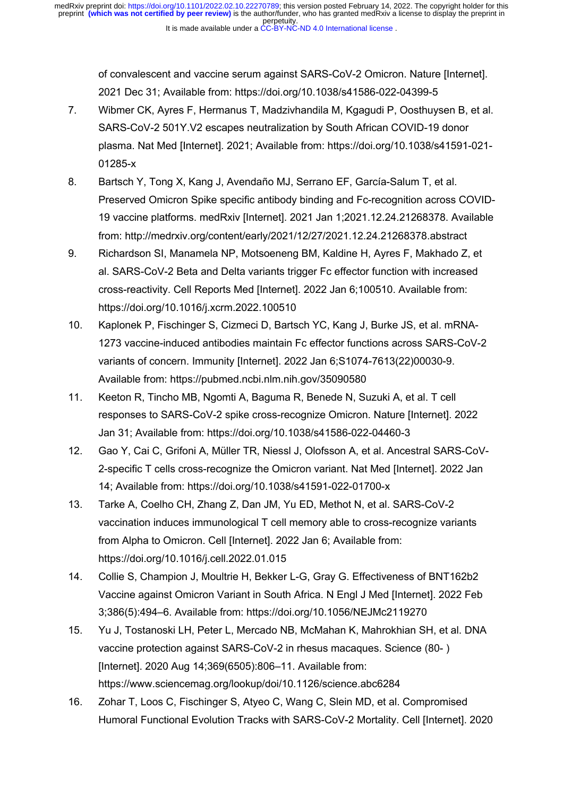of convalescent and vaccine serum against SARS-CoV-2 Omicron. Nature [Internet]. 2021 Dec 31; Available from: https://doi.org/10.1038/s41586-022-04399-5

- 7. Wibmer CK, Ayres F, Hermanus T, Madzivhandila M, Kgagudi P, Oosthuysen B, et al. SARS-CoV-2 501Y.V2 escapes neutralization by South African COVID-19 donor plasma. Nat Med [Internet]. 2021; Available from: https://doi.org/10.1038/s41591-021- 01285-x
- 8. Bartsch Y, Tong X, Kang J, Avendaño MJ, Serrano EF, García-Salum T, et al. Preserved Omicron Spike specific antibody binding and Fc-recognition across COVID-19 vaccine platforms. medRxiv [Internet]. 2021 Jan 1;2021.12.24.21268378. Available from: http://medrxiv.org/content/early/2021/12/27/2021.12.24.21268378.abstract
- 9. Richardson SI, Manamela NP, Motsoeneng BM, Kaldine H, Ayres F, Makhado Z, et al. SARS-CoV-2 Beta and Delta variants trigger Fc effector function with increased cross-reactivity. Cell Reports Med [Internet]. 2022 Jan 6;100510. Available from: https://doi.org/10.1016/j.xcrm.2022.100510
- 10. Kaplonek P, Fischinger S, Cizmeci D, Bartsch YC, Kang J, Burke JS, et al. mRNA-1273 vaccine-induced antibodies maintain Fc effector functions across SARS-CoV-2 variants of concern. Immunity [Internet]. 2022 Jan 6;S1074-7613(22)00030-9. Available from: https://pubmed.ncbi.nlm.nih.gov/35090580
- 11. Keeton R, Tincho MB, Ngomti A, Baguma R, Benede N, Suzuki A, et al. T cell responses to SARS-CoV-2 spike cross-recognize Omicron. Nature [Internet]. 2022 Jan 31; Available from: https://doi.org/10.1038/s41586-022-04460-3
- 12. Gao Y, Cai C, Grifoni A, Müller TR, Niessl J, Olofsson A, et al. Ancestral SARS-CoV-2-specific T cells cross-recognize the Omicron variant. Nat Med [Internet]. 2022 Jan 14; Available from: https://doi.org/10.1038/s41591-022-01700-x
- 13. Tarke A, Coelho CH, Zhang Z, Dan JM, Yu ED, Methot N, et al. SARS-CoV-2 vaccination induces immunological T cell memory able to cross-recognize variants from Alpha to Omicron. Cell [Internet]. 2022 Jan 6; Available from: https://doi.org/10.1016/j.cell.2022.01.015
- 14. Collie S, Champion J, Moultrie H, Bekker L-G, Gray G. Effectiveness of BNT162b2 Vaccine against Omicron Variant in South Africa. N Engl J Med [Internet]. 2022 Feb 3;386(5):494–6. Available from: https://doi.org/10.1056/NEJMc2119270
- 15. Yu J, Tostanoski LH, Peter L, Mercado NB, McMahan K, Mahrokhian SH, et al. DNA vaccine protection against SARS-CoV-2 in rhesus macaques. Science (80- ) [Internet]. 2020 Aug 14;369(6505):806–11. Available from: https://www.sciencemag.org/lookup/doi/10.1126/science.abc6284
- 16. Zohar T, Loos C, Fischinger S, Atyeo C, Wang C, Slein MD, et al. Compromised Humoral Functional Evolution Tracks with SARS-CoV-2 Mortality. Cell [Internet]. 2020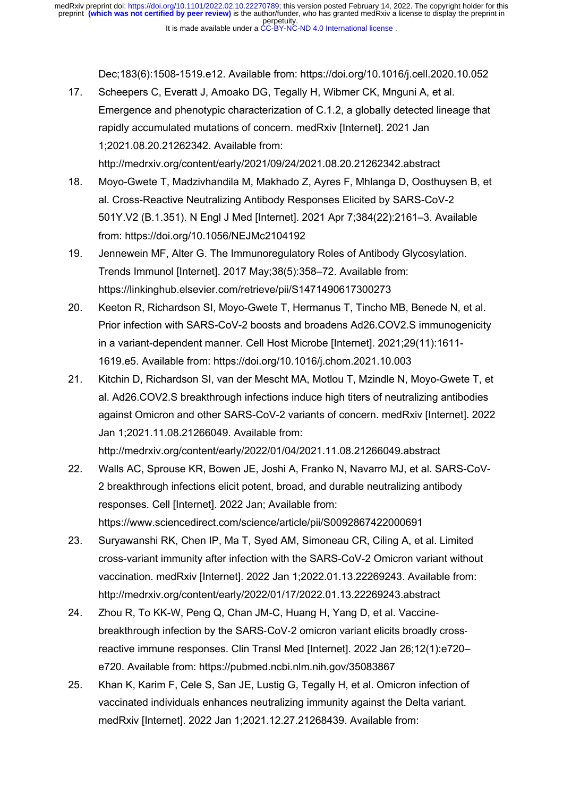Dec;183(6):1508-1519.e12. Available from: https://doi.org/10.1016/j.cell.2020.10.052

- 17. Scheepers C, Everatt J, Amoako DG, Tegally H, Wibmer CK, Mnguni A, et al. Emergence and phenotypic characterization of C.1.2, a globally detected lineage that rapidly accumulated mutations of concern. medRxiv [Internet]. 2021 Jan 1;2021.08.20.21262342. Available from: http://medrxiv.org/content/early/2021/09/24/2021.08.20.21262342.abstract
- 18. Moyo-Gwete T, Madzivhandila M, Makhado Z, Ayres F, Mhlanga D, Oosthuysen B, et al. Cross-Reactive Neutralizing Antibody Responses Elicited by SARS-CoV-2 501Y.V2 (B.1.351). N Engl J Med [Internet]. 2021 Apr 7;384(22):2161–3. Available from: https://doi.org/10.1056/NEJMc2104192
- 19. Jennewein MF, Alter G. The Immunoregulatory Roles of Antibody Glycosylation. Trends Immunol [Internet]. 2017 May;38(5):358–72. Available from: https://linkinghub.elsevier.com/retrieve/pii/S1471490617300273
- 20. Keeton R, Richardson SI, Moyo-Gwete T, Hermanus T, Tincho MB, Benede N, et al. Prior infection with SARS-CoV-2 boosts and broadens Ad26.COV2.S immunogenicity in a variant-dependent manner. Cell Host Microbe [Internet]. 2021;29(11):1611- 1619.e5. Available from: https://doi.org/10.1016/j.chom.2021.10.003
- 21. Kitchin D, Richardson SI, van der Mescht MA, Motlou T, Mzindle N, Moyo-Gwete T, et al. Ad26.COV2.S breakthrough infections induce high titers of neutralizing antibodies against Omicron and other SARS-CoV-2 variants of concern. medRxiv [Internet]. 2022 Jan 1;2021.11.08.21266049. Available from: http://medrxiv.org/content/early/2022/01/04/2021.11.08.21266049.abstract
- 22. Walls AC, Sprouse KR, Bowen JE, Joshi A, Franko N, Navarro MJ, et al. SARS-CoV-2 breakthrough infections elicit potent, broad, and durable neutralizing antibody responses. Cell [Internet]. 2022 Jan; Available from: https://www.sciencedirect.com/science/article/pii/S0092867422000691
- 23. Suryawanshi RK, Chen IP, Ma T, Syed AM, Simoneau CR, Ciling A, et al. Limited cross-variant immunity after infection with the SARS-CoV-2 Omicron variant without vaccination. medRxiv [Internet]. 2022 Jan 1;2022.01.13.22269243. Available from: http://medrxiv.org/content/early/2022/01/17/2022.01.13.22269243.abstract
- 24. Zhou R, To KK-W, Peng Q, Chan JM-C, Huang H, Yang D, et al. Vaccinebreakthrough infection by the SARS-CoV-2 omicron variant elicits broadly crossreactive immune responses. Clin Transl Med [Internet]. 2022 Jan 26;12(1):e720– e720. Available from: https://pubmed.ncbi.nlm.nih.gov/35083867
- 25. Khan K, Karim F, Cele S, San JE, Lustig G, Tegally H, et al. Omicron infection of vaccinated individuals enhances neutralizing immunity against the Delta variant. medRxiv [Internet]. 2022 Jan 1;2021.12.27.21268439. Available from: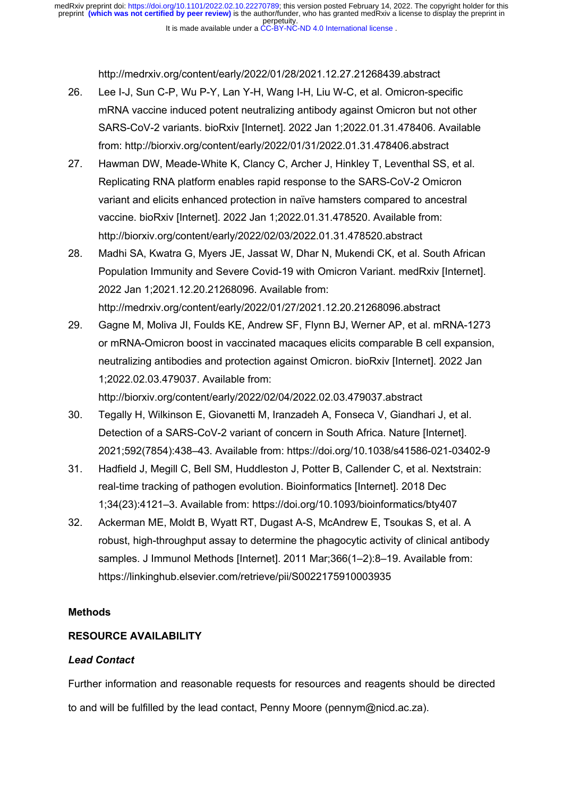It is made available under a CC-BY-NC-ND 4.0 International license. perpetuity. preprint **(which was not certified by peer review)** is the author/funder, who has granted medRxiv a license to display the preprint in medRxiv preprint doi: [https://doi.org/10.1101/2022.02.10.22270789;](https://doi.org/10.1101/2022.02.10.22270789) this version posted February 14, 2022. The copyright holder for this

http://medrxiv.org/content/early/2022/01/28/2021.12.27.21268439.abstract

- 26. Lee I-J, Sun C-P, Wu P-Y, Lan Y-H, Wang I-H, Liu W-C, et al. Omicron-specific mRNA vaccine induced potent neutralizing antibody against Omicron but not other SARS-CoV-2 variants. bioRxiv [Internet]. 2022 Jan 1;2022.01.31.478406. Available from: http://biorxiv.org/content/early/2022/01/31/2022.01.31.478406.abstract
- 27. Hawman DW, Meade-White K, Clancy C, Archer J, Hinkley T, Leventhal SS, et al. Replicating RNA platform enables rapid response to the SARS-CoV-2 Omicron variant and elicits enhanced protection in naïve hamsters compared to ancestral vaccine. bioRxiv [Internet]. 2022 Jan 1;2022.01.31.478520. Available from: http://biorxiv.org/content/early/2022/02/03/2022.01.31.478520.abstract
- 28. Madhi SA, Kwatra G, Myers JE, Jassat W, Dhar N, Mukendi CK, et al. South African Population Immunity and Severe Covid-19 with Omicron Variant. medRxiv [Internet]. 2022 Jan 1;2021.12.20.21268096. Available from: http://medrxiv.org/content/early/2022/01/27/2021.12.20.21268096.abstract
- 29. Gagne M, Moliva JI, Foulds KE, Andrew SF, Flynn BJ, Werner AP, et al. mRNA-1273 or mRNA-Omicron boost in vaccinated macaques elicits comparable B cell expansion, neutralizing antibodies and protection against Omicron. bioRxiv [Internet]. 2022 Jan 1;2022.02.03.479037. Available from: http://biorxiv.org/content/early/2022/02/04/2022.02.03.479037.abstract
- 30. Tegally H, Wilkinson E, Giovanetti M, Iranzadeh A, Fonseca V, Giandhari J, et al. Detection of a SARS-CoV-2 variant of concern in South Africa. Nature [Internet]. 2021;592(7854):438–43. Available from: https://doi.org/10.1038/s41586-021-03402-9
- 31. Hadfield J, Megill C, Bell SM, Huddleston J, Potter B, Callender C, et al. Nextstrain: real-time tracking of pathogen evolution. Bioinformatics [Internet]. 2018 Dec 1;34(23):4121–3. Available from: https://doi.org/10.1093/bioinformatics/bty407
- 32. Ackerman ME, Moldt B, Wyatt RT, Dugast A-S, McAndrew E, Tsoukas S, et al. A robust, high-throughput assay to determine the phagocytic activity of clinical antibody samples. J Immunol Methods [Internet]. 2011 Mar;366(1–2):8–19. Available from: https://linkinghub.elsevier.com/retrieve/pii/S0022175910003935

# **Methods**

# **RESOURCE AVAILABILITY**

# *Lead Contact*

Further information and reasonable requests for resources and reagents should be directed to and will be fulfilled by the lead contact, Penny Moore (pennym@nicd.ac.za).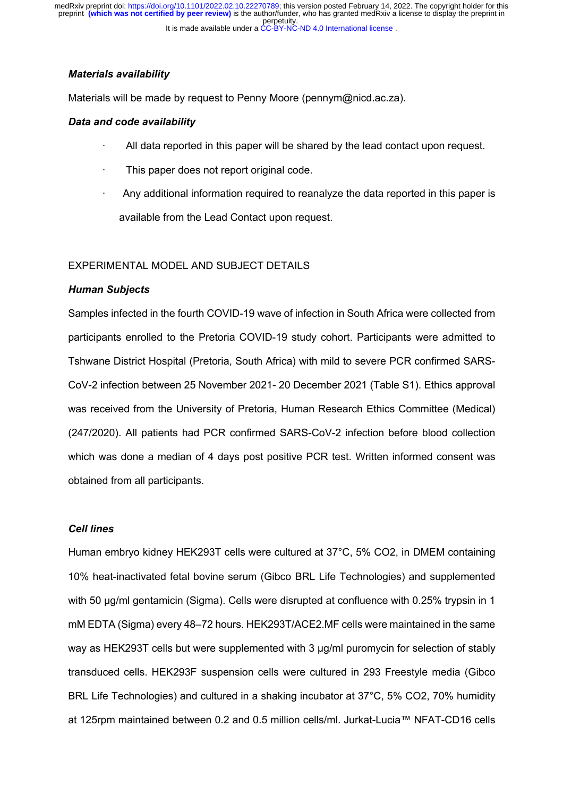It is made available under a CC-BY-NC-ND 4.0 International license. perpetuity. preprint **(which was not certified by peer review)** is the author/funder, who has granted medRxiv a license to display the preprint in medRxiv preprint doi: [https://doi.org/10.1101/2022.02.10.22270789;](https://doi.org/10.1101/2022.02.10.22270789) this version posted February 14, 2022. The copyright holder for this

#### *Materials availability*

Materials will be made by request to Penny Moore (pennym@nicd.ac.za).

#### *Data and code availability*

- · All data reported in this paper will be shared by the lead contact upon request.
- This paper does not report original code.
- · Any additional information required to reanalyze the data reported in this paper is available from the Lead Contact upon request.

### EXPERIMENTAL MODEL AND SUBJECT DETAILS

#### *Human Subjects*

Samples infected in the fourth COVID-19 wave of infection in South Africa were collected from participants enrolled to the Pretoria COVID-19 study cohort. Participants were admitted to Tshwane District Hospital (Pretoria, South Africa) with mild to severe PCR confirmed SARS-CoV-2 infection between 25 November 2021- 20 December 2021 (Table S1). Ethics approval was received from the University of Pretoria, Human Research Ethics Committee (Medical) (247/2020). All patients had PCR confirmed SARS-CoV-2 infection before blood collection which was done a median of 4 days post positive PCR test. Written informed consent was obtained from all participants.

### *Cell lines*

Human embryo kidney HEK293T cells were cultured at 37°C, 5% CO2, in DMEM containing 10% heat-inactivated fetal bovine serum (Gibco BRL Life Technologies) and supplemented with 50 μg/ml gentamicin (Sigma). Cells were disrupted at confluence with 0.25% trypsin in 1 mM EDTA (Sigma) every 48–72 hours. HEK293T/ACE2.MF cells were maintained in the same way as HEK293T cells but were supplemented with 3 μg/ml puromycin for selection of stably transduced cells. HEK293F suspension cells were cultured in 293 Freestyle media (Gibco BRL Life Technologies) and cultured in a shaking incubator at 37°C, 5% CO2, 70% humidity at 125rpm maintained between 0.2 and 0.5 million cells/ml. Jurkat-Lucia™ NFAT-CD16 cells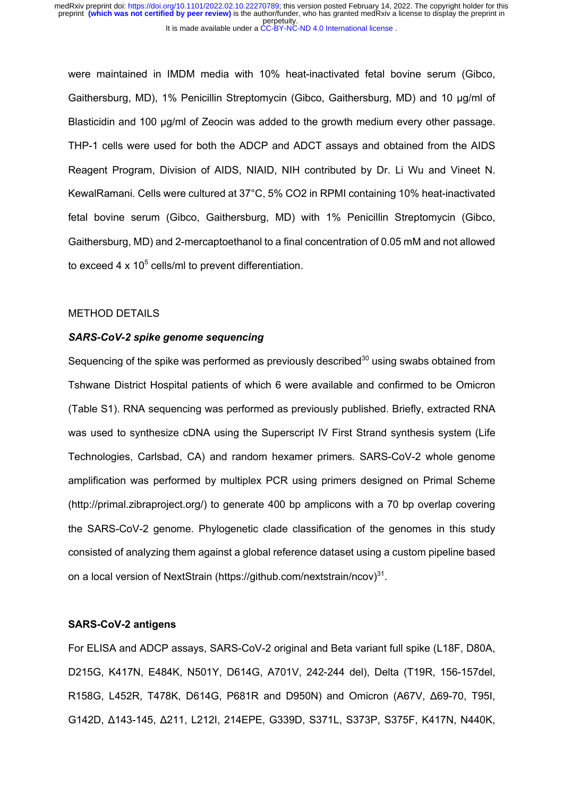were maintained in IMDM media with 10% heat-inactivated fetal bovine serum (Gibco, Gaithersburg, MD), 1% Penicillin Streptomycin (Gibco, Gaithersburg, MD) and 10 μg/ml of Blasticidin and 100 μg/ml of Zeocin was added to the growth medium every other passage. THP-1 cells were used for both the ADCP and ADCT assays and obtained from the AIDS Reagent Program, Division of AIDS, NIAID, NIH contributed by Dr. Li Wu and Vineet N. KewalRamani. Cells were cultured at 37°C, 5% CO2 in RPMI containing 10% heat-inactivated fetal bovine serum (Gibco, Gaithersburg, MD) with 1% Penicillin Streptomycin (Gibco, Gaithersburg, MD) and 2-mercaptoethanol to a final concentration of 0.05 mM and not allowed to exceed 4  $\times$  10<sup>5</sup> cells/ml to prevent differentiation.

## METHOD DETAILS

### *SARS-CoV-2 spike genome sequencing*

Sequencing of the spike was performed as previously described<sup>30</sup> using swabs obtained from Tshwane District Hospital patients of which 6 were available and confirmed to be Omicron (Table S1). RNA sequencing was performed as previously published. Briefly, extracted RNA was used to synthesize cDNA using the Superscript IV First Strand synthesis system (Life Technologies, Carlsbad, CA) and random hexamer primers. SARS-CoV-2 whole genome amplification was performed by multiplex PCR using primers designed on Primal Scheme (http://primal.zibraproject.org/) to generate 400 bp amplicons with a 70 bp overlap covering the SARS-CoV-2 genome. Phylogenetic clade classification of the genomes in this study consisted of analyzing them against a global reference dataset using a custom pipeline based on a local version of NextStrain (https://github.com/nextstrain/ncov)<sup>31</sup>.

#### **SARS-CoV-2 antigens**

For ELISA and ADCP assays, SARS-CoV-2 original and Beta variant full spike (L18F, D80A, D215G, K417N, E484K, N501Y, D614G, A701V, 242-244 del), Delta (T19R, 156-157del, R158G, L452R, T478K, D614G, P681R and D950N) and Omicron (A67V, Δ69-70, T95I, G142D, Δ143-145, Δ211, L212I, 214EPE, G339D, S371L, S373P, S375F, K417N, N440K,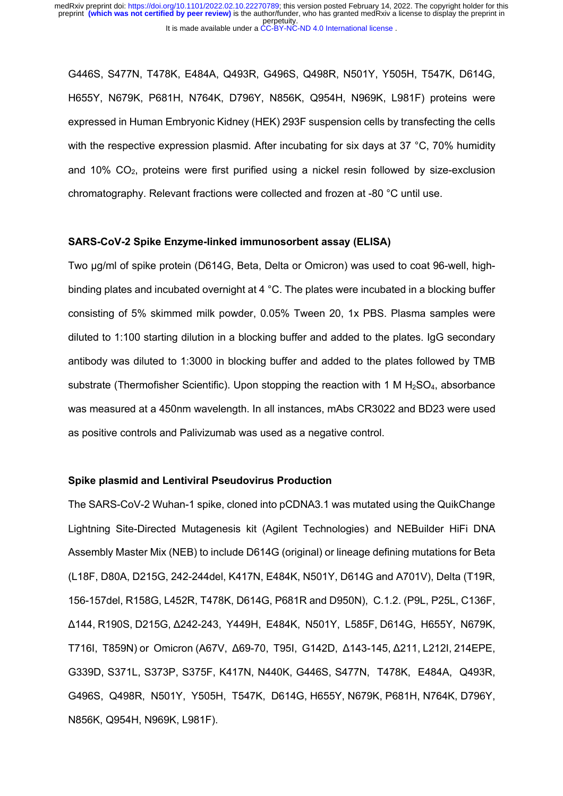G446S, S477N, T478K, E484A, Q493R, G496S, Q498R, N501Y, Y505H, T547K, D614G, H655Y, N679K, P681H, N764K, D796Y, N856K, Q954H, N969K, L981F) proteins were expressed in Human Embryonic Kidney (HEK) 293F suspension cells by transfecting the cells with the respective expression plasmid. After incubating for six days at 37 °C, 70% humidity and 10% CO2, proteins were first purified using a nickel resin followed by size-exclusion chromatography. Relevant fractions were collected and frozen at -80 °C until use.

#### **SARS-CoV-2 Spike Enzyme-linked immunosorbent assay (ELISA)**

Two μg/ml of spike protein (D614G, Beta, Delta or Omicron) was used to coat 96-well, highbinding plates and incubated overnight at 4 °C. The plates were incubated in a blocking buffer consisting of 5% skimmed milk powder, 0.05% Tween 20, 1x PBS. Plasma samples were diluted to 1:100 starting dilution in a blocking buffer and added to the plates. IgG secondary antibody was diluted to 1:3000 in blocking buffer and added to the plates followed by TMB substrate (Thermofisher Scientific). Upon stopping the reaction with 1 M  $H_2SO_4$ , absorbance was measured at a 450nm wavelength. In all instances, mAbs CR3022 and BD23 were used as positive controls and Palivizumab was used as a negative control.

#### **Spike plasmid and Lentiviral Pseudovirus Production**

The SARS-CoV-2 Wuhan-1 spike, cloned into pCDNA3.1 was mutated using the QuikChange Lightning Site-Directed Mutagenesis kit (Agilent Technologies) and NEBuilder HiFi DNA Assembly Master Mix (NEB) to include D614G (original) or lineage defining mutations for Beta (L18F, D80A, D215G, 242-244del, K417N, E484K, N501Y, D614G and A701V), Delta (T19R, 156-157del, R158G, L452R, T478K, D614G, P681R and D950N), C.1.2. (P9L, P25L, C136F, Δ144, R190S, D215G, Δ242-243, Y449H, E484K, N501Y, L585F, D614G, H655Y, N679K, T716I, T859N) or Omicron (A67V, Δ69-70, T95I, G142D, Δ143-145, Δ211, L212I, 214EPE, G339D, S371L, S373P, S375F, K417N, N440K, G446S, S477N, T478K, E484A, Q493R, G496S, Q498R, N501Y, Y505H, T547K, D614G, H655Y, N679K, P681H, N764K, D796Y, N856K, Q954H, N969K, L981F).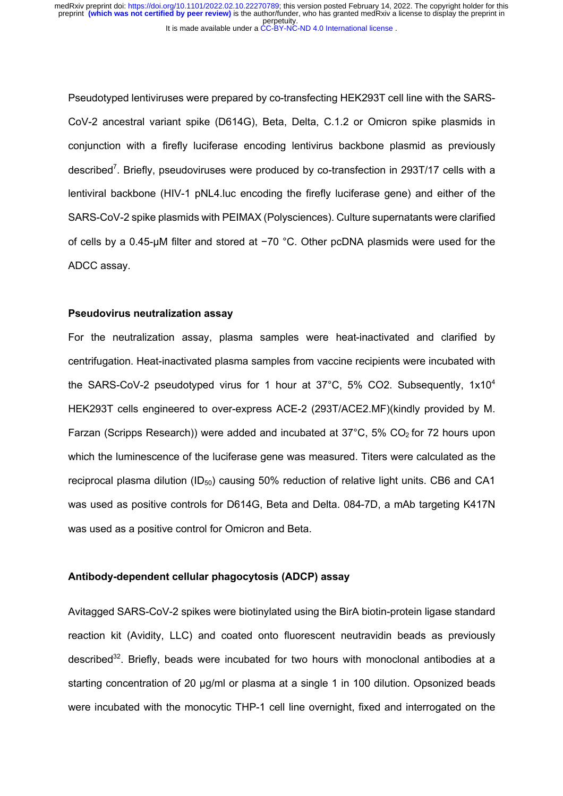It is made available under a CC-BY-NC-ND 4.0 International license. perpetuity. preprint **(which was not certified by peer review)** is the author/funder, who has granted medRxiv a license to display the preprint in medRxiv preprint doi: [https://doi.org/10.1101/2022.02.10.22270789;](https://doi.org/10.1101/2022.02.10.22270789) this version posted February 14, 2022. The copyright holder for this

Pseudotyped lentiviruses were prepared by co-transfecting HEK293T cell line with the SARS-CoV-2 ancestral variant spike (D614G), Beta, Delta, C.1.2 or Omicron spike plasmids in conjunction with a firefly luciferase encoding lentivirus backbone plasmid as previously described<sup>7</sup>. Briefly, pseudoviruses were produced by co-transfection in 293T/17 cells with a lentiviral backbone (HIV-1 pNL4.luc encoding the firefly luciferase gene) and either of the SARS-CoV-2 spike plasmids with PEIMAX (Polysciences). Culture supernatants were clarified of cells by a 0.45-μM filter and stored at −70 °C. Other pcDNA plasmids were used for the ADCC assay.

#### **Pseudovirus neutralization assay**

For the neutralization assay, plasma samples were heat-inactivated and clarified by centrifugation. Heat-inactivated plasma samples from vaccine recipients were incubated with the SARS-CoV-2 pseudotyped virus for 1 hour at  $37^{\circ}$ C, 5% CO2. Subsequently,  $1 \times 10^{4}$ HEK293T cells engineered to over-express ACE-2 (293T/ACE2.MF)(kindly provided by M. Farzan (Scripps Research)) were added and incubated at  $37^{\circ}$ C,  $5\%$  CO<sub>2</sub> for 72 hours upon which the luminescence of the luciferase gene was measured. Titers were calculated as the reciprocal plasma dilution (ID<sub>50</sub>) causing 50% reduction of relative light units. CB6 and CA1 was used as positive controls for D614G, Beta and Delta. 084-7D, a mAb targeting K417N was used as a positive control for Omicron and Beta.

### **Antibody-dependent cellular phagocytosis (ADCP) assay**

Avitagged SARS-CoV-2 spikes were biotinylated using the BirA biotin-protein ligase standard reaction kit (Avidity, LLC) and coated onto fluorescent neutravidin beads as previously described<sup>32</sup>. Briefly, beads were incubated for two hours with monoclonal antibodies at a starting concentration of 20 μg/ml or plasma at a single 1 in 100 dilution. Opsonized beads were incubated with the monocytic THP-1 cell line overnight, fixed and interrogated on the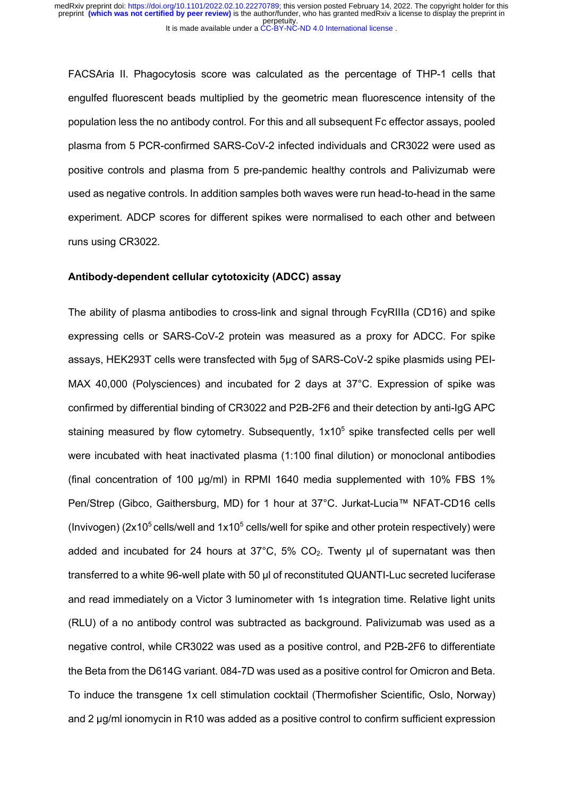FACSAria II. Phagocytosis score was calculated as the percentage of THP-1 cells that engulfed fluorescent beads multiplied by the geometric mean fluorescence intensity of the population less the no antibody control. For this and all subsequent Fc effector assays, pooled plasma from 5 PCR-confirmed SARS-CoV-2 infected individuals and CR3022 were used as positive controls and plasma from 5 pre-pandemic healthy controls and Palivizumab were used as negative controls. In addition samples both waves were run head-to-head in the same experiment. ADCP scores for different spikes were normalised to each other and between runs using CR3022.

### **Antibody-dependent cellular cytotoxicity (ADCC) assay**

The ability of plasma antibodies to cross-link and signal through FcγRIIIa (CD16) and spike expressing cells or SARS-CoV-2 protein was measured as a proxy for ADCC. For spike assays, HEK293T cells were transfected with 5μg of SARS-CoV-2 spike plasmids using PEI-MAX 40,000 (Polysciences) and incubated for 2 days at 37°C. Expression of spike was confirmed by differential binding of CR3022 and P2B-2F6 and their detection by anti-IgG APC staining measured by flow cytometry. Subsequently,  $1x10<sup>5</sup>$  spike transfected cells per well were incubated with heat inactivated plasma (1:100 final dilution) or monoclonal antibodies (final concentration of 100 μg/ml) in RPMI 1640 media supplemented with 10% FBS 1% Pen/Strep (Gibco, Gaithersburg, MD) for 1 hour at 37°C. Jurkat-Lucia™ NFAT-CD16 cells (Invivogen) ( $2x10<sup>5</sup>$  cells/well and  $1x10<sup>5</sup>$  cells/well for spike and other protein respectively) were added and incubated for 24 hours at  $37^{\circ}$ C,  $5\%$  CO<sub>2</sub>. Twenty μl of supernatant was then transferred to a white 96-well plate with 50 μl of reconstituted QUANTI-Luc secreted luciferase and read immediately on a Victor 3 luminometer with 1s integration time. Relative light units (RLU) of a no antibody control was subtracted as background. Palivizumab was used as a negative control, while CR3022 was used as a positive control, and P2B-2F6 to differentiate the Beta from the D614G variant. 084-7D was used as a positive control for Omicron and Beta. To induce the transgene 1x cell stimulation cocktail (Thermofisher Scientific, Oslo, Norway) and 2 μg/ml ionomycin in R10 was added as a positive control to confirm sufficient expression